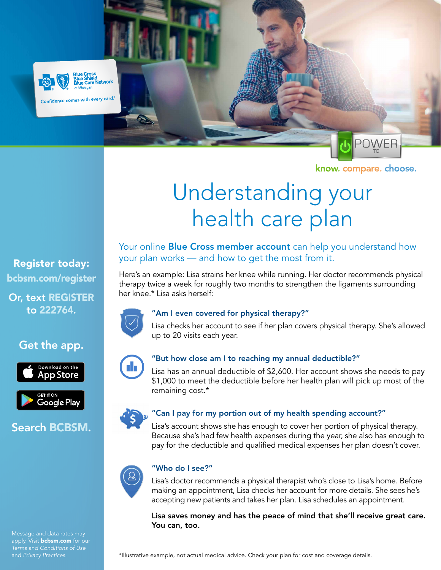

Confidence comes with every card.<sup>®</sup>

Network



know. compare. choose.

# Understanding your health care plan

# Register today: [bcbsm.com/register](https://bcbsm.com/content/microsites/register/en/register.html?utm_source=Flier&utm_medium=PDF&utm_campaign=GA_101625&utm_term=Register)

Or, text REGISTER to 222764.

# Get the app.





# Search BCBSM.



## Your online **[Blue Cross member account](https://www.bcbsm.com/content/microsites/register/en/register.html?utm_source=Flier&utm_medium=PDF&utm_campaign=GA_101845&utm_term=Register)** can help you understand how your plan works — and how to get the most from it.

Here's an example: Lisa strains her knee while running. Her doctor recommends physical therapy twice a week for roughly two months to strengthen the ligaments surrounding her knee.\* Lisa asks herself:



#### "Am I even covered for physical therapy?"

Lisa checks her account to see if her plan covers physical therapy. She's allowed up to 20 visits each year.



## "But how close am I to reaching my annual deductible?"

Lisa has an annual deductible of \$2,600. Her account shows she needs to pay \$1,000 to meet the deductible before her health plan will pick up most of the remaining cost.\*

## "Can I pay for my portion out of my health spending account?"

Lisa's account shows she has enough to cover her portion of physical therapy. Because she's had few health expenses during the year, she also has enough to pay for the deductible and qualified medical expenses her plan doesn't cover.



#### "Who do I see?"

Lisa's doctor recommends a physical therapist who's close to Lisa's home. Before making an appointment, Lisa checks her account for more details. She sees he's accepting new patients and takes her plan. Lisa schedules an appointment.

Lisa saves money and has the peace of mind that she'll receive great care. You can, too.